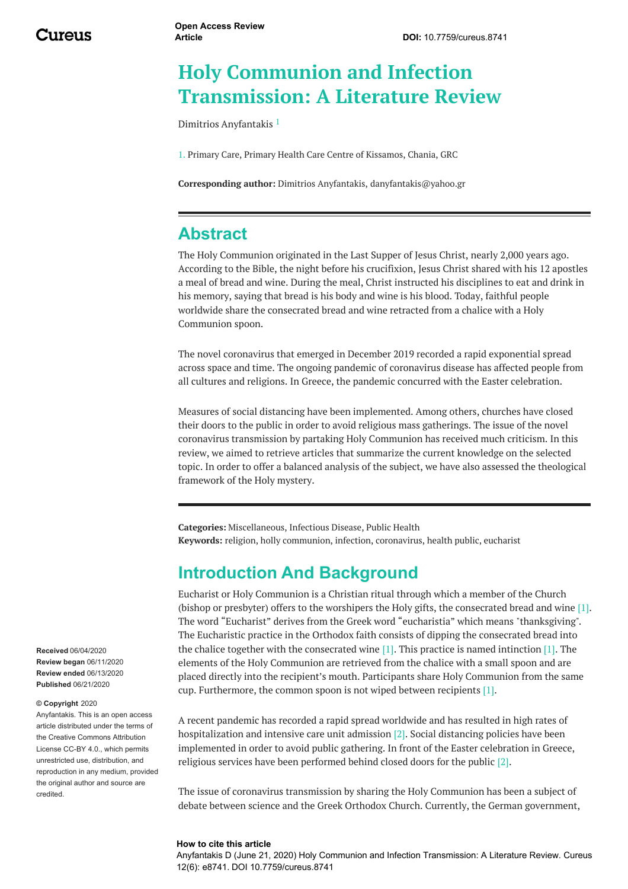# **Holy Communion and Infection Transmission: A Literature Review**

Dimitrios [Anyfantakis](https://www.cureus.com/users/137376-dimitrios-anyfantakis) 1

1. Primary Care, Primary Health Care Centre of Kissamos, Chania, GRC

**Corresponding author:** Dimitrios Anyfantakis, danyfantakis@yahoo.gr

# **Abstract**

The Holy Communion originated in the Last Supper of Jesus Christ, nearly 2,000 years ago. According to the Bible, the night before his crucifixion, Jesus Christ shared with his 12 apostles a meal of bread and wine. During the meal, Christ instructed his disciplines to eat and drink in his memory, saying that bread is his body and wine is his blood. Today, faithful people worldwide share the consecrated bread and wine retracted from a chalice with a Holy Communion spoon.

The novel coronavirus that emerged in December 2019 recorded a rapid exponential spread across space and time. The ongoing pandemic of coronavirus disease has affected people from all cultures and religions. In Greece, the pandemic concurred with the Easter celebration.

Measures of social distancing have been implemented. Among others, churches have closed their doors to the public in order to avoid religious mass gatherings. The issue of the novel coronavirus transmission by partaking Holy Communion has received much criticism. In this review, we aimed to retrieve articles that summarize the current knowledge on the selected topic. In order to offer a balanced analysis of the subject, we have also assessed the theological framework of the Holy mystery.

**Categories:** Miscellaneous, Infectious Disease, Public Health **Keywords:** religion, holly communion, infection, coronavirus, health public, eucharist

## **Introduction And Background**

Eucharist or Holy Communion is a Christian ritual through which a member of the Church (bishop or presbyter) offers to the worshipers the Holy gifts, the consecrated bread and wine [1]. The word "Eucharist" derives from the Greek word "eucharistia" which means "thanksgiving". The Eucharistic practice in the Orthodox faith consists of dipping the consecrated bread into the chalice together with the consecrated wine  $[1]$ . This practice is named intinction  $[1]$ . The elements of the Holy Communion are retrieved from the chalice with a small spoon and are placed directly into the recipient's mouth. Participants share Holy Communion from the same cup. Furthermore, the common spoon is not wiped between recipients [1].

A recent pandemic has recorded a rapid spread worldwide and has resulted in high rates of hospitalization and intensive care unit admission [2]. Social distancing policies have been implemented in order to avoid public gathering. In front of the Easter celebration in Greece, religious services have been performed behind closed doors for the public [2].

The issue of coronavirus transmission by sharing the Holy Communion has been a subject of debate between science and the Greek Orthodox Church. Currently, the German government,

#### **How to cite this article**

Anyfantakis D (June 21, 2020) Holy Communion and Infection Transmission: A Literature Review. Cureus 12(6): e8741. DOI 10.7759/cureus.8741

**Received** 06/04/2020 **Review began** 06/11/2020 **Review ended** 06/13/2020 **Published** 06/21/2020

#### **© Copyright** 2020

Anyfantakis. This is an open access article distributed under the terms of the Creative Commons Attribution License CC-BY 4.0., which permits unrestricted use, distribution, and reproduction in any medium, provided the original author and source are credited.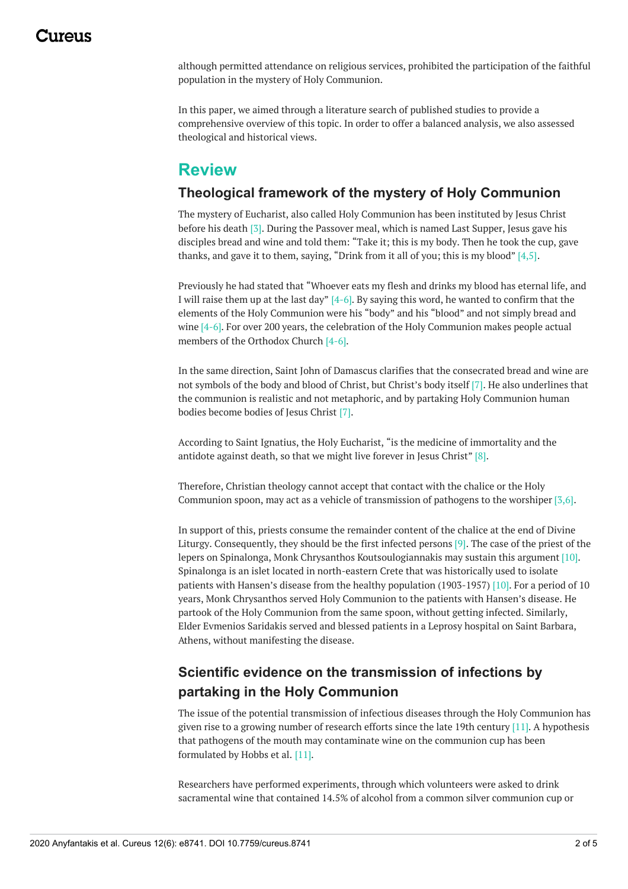## 1174110

although permitted attendance on religious services, prohibited the participation of the faithful population in the mystery of Holy Communion.

In this paper, we aimed through a literature search of published studies to provide a comprehensive overview of this topic. In order to offer a balanced analysis, we also assessed theological and historical views.

#### **Review**

#### **Theological framework of the mystery of Holy Communion**

The mystery of Eucharist, also called Holy Communion has been instituted by Jesus Christ before his death [3]. During the Passover meal, which is named Last Supper, Jesus gave his disciples bread and wine and told them: "Take it; this is my body. Then he took the cup, gave thanks, and gave it to them, saying, "Drink from it all of you; this is my blood"  $[4,5]$ .

Previously he had stated that "Whoever eats my flesh and drinks my blood has eternal life, and I will raise them up at the last day" [4-6]. By saying this word, he wanted to confirm that the elements of the Holy Communion were his "body" and his "blood" and not simply bread and wine  $[4-6]$ . For over 200 years, the celebration of the Holy Communion makes people actual members of the Orthodox Church [4-6].

In the same direction, Saint John of Damascus clarifies that the consecrated bread and wine are not symbols of the body and blood of Christ, but Christ's body itself [7]. He also underlines that the communion is realistic and not metaphoric, and by partaking Holy Communion human bodies become bodies of Jesus Christ [7].

According to Saint Ignatius, the Holy Eucharist, "is the medicine of immortality and the antidote against death, so that we might live forever in Jesus Christ" [8].

Therefore, Christian theology cannot accept that contact with the chalice or the Holy Communion spoon, may act as a vehicle of transmission of pathogens to the worshiper [3,6].

In support of this, priests consume the remainder content of the chalice at the end of Divine Liturgy. Consequently, they should be the first infected persons [9]. The case of the priest of the lepers on Spinalonga, Monk Chrysanthos Koutsoulogiannakis may sustain this argument [10]. Spinalonga is an islet located in north-eastern Crete that was historically used to isolate patients with Hansen's disease from the healthy population (1903-1957) [10]. For a period of 10 years, Monk Chrysanthos served Holy Communion to the patients with Hansen's disease. He partook of the Holy Communion from the same spoon, without getting infected. Similarly, Elder Evmenios Saridakis served and blessed patients in a Leprosy hospital on Saint Barbara, Athens, without manifesting the disease.

#### **Scientific evidence on the transmission of infections by partaking in the Holy Communion**

The issue of the potential transmission of infectious diseases through the Holy Communion has given rise to a growing number of research efforts since the late 19th century [11]. A hypothesis that pathogens of the mouth may contaminate wine on the communion cup has been formulated by Hobbs et al. [11].

Researchers have performed experiments, through which volunteers were asked to drink sacramental wine that contained 14.5% of alcohol from a common silver communion cup or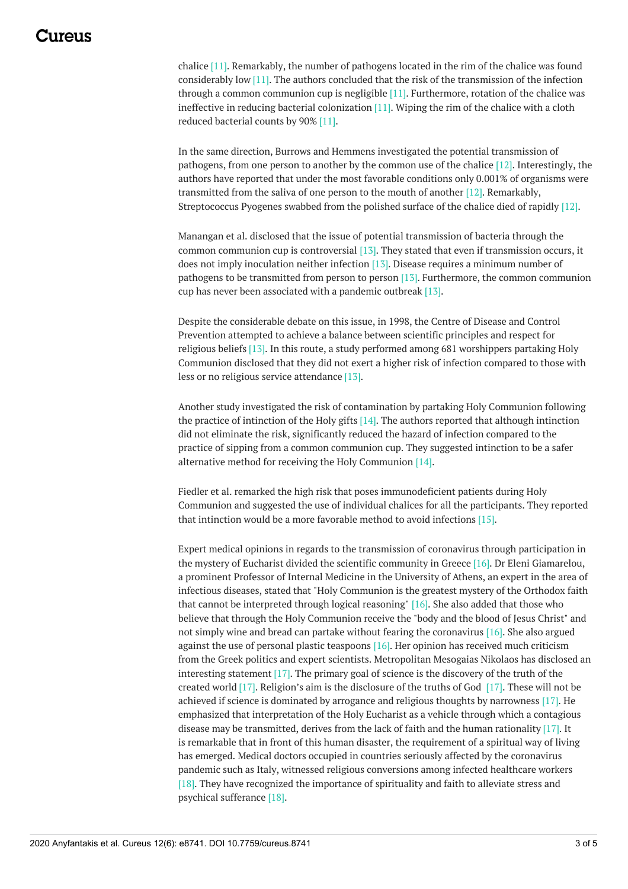chalice [11]. Remarkably, the number of pathogens located in the rim of the chalice was found considerably low [11]. The authors concluded that the risk of the transmission of the infection through a common communion cup is negligible  $[11]$ . Furthermore, rotation of the chalice was ineffective in reducing bacterial colonization [11]. Wiping the rim of the chalice with a cloth reduced bacterial counts by 90% [11].

In the same direction, Burrows and Hemmens investigated the potential transmission of pathogens, from one person to another by the common use of the chalice [12]. Interestingly, the authors have reported that under the most favorable conditions only 0.001% of organisms were transmitted from the saliva of one person to the mouth of another [12]. Remarkably, Streptococcus Pyogenes swabbed from the polished surface of the chalice died of rapidly [12].

Manangan et al. disclosed that the issue of potential transmission of bacteria through the common communion cup is controversial [13]. They stated that even if transmission occurs, it does not imply inoculation neither infection [13]. Disease requires a minimum number of pathogens to be transmitted from person to person [13]. Furthermore, the common communion cup has never been associated with a pandemic outbreak [13].

Despite the considerable debate on this issue, in 1998, the Centre of Disease and Control Prevention attempted to achieve a balance between scientific principles and respect for religious beliefs [13]. In this route, a study performed among 681 worshippers partaking Holy Communion disclosed that they did not exert a higher risk of infection compared to those with less or no religious service attendance [13].

Another study investigated the risk of contamination by partaking Holy Communion following the practice of intinction of the Holy gifts [14]. The authors reported that although intinction did not eliminate the risk, significantly reduced the hazard of infection compared to the practice of sipping from a common communion cup. They suggested intinction to be a safer alternative method for receiving the Holy Communion [14].

Fiedler et al. remarked the high risk that poses immunodeficient patients during Holy Communion and suggested the use of individual chalices for all the participants. They reported that intinction would be a more favorable method to avoid infections [15].

Expert medical opinions in regards to the transmission of coronavirus through participation in the mystery of Eucharist divided the scientific community in Greece [16]. Dr Eleni Giamarelou, a prominent Professor of Internal Medicine in the University of Athens, an expert in the area of infectious diseases, stated that "Holy Communion is the greatest mystery of the Orthodox faith that cannot be interpreted through logical reasoning" [16]. She also added that those who believe that through the Holy Communion receive the "body and the blood of Jesus Christ" and not simply wine and bread can partake without fearing the coronavirus [16]. She also argued against the use of personal plastic teaspoons [16]. Her opinion has received much criticism from the Greek politics and expert scientists. Metropolitan Mesogaias Nikolaos has disclosed an interesting statement [17]. The primary goal of science is the discovery of the truth of the created world [17]. Religion's aim is the disclosure of the truths of God [17]. These will not be achieved if science is dominated by arrogance and religious thoughts by narrowness [17]. He emphasized that interpretation of the Holy Eucharist as a vehicle through which a contagious disease may be transmitted, derives from the lack of faith and the human rationality [17]. It is remarkable that in front of this human disaster, the requirement of a spiritual way of living has emerged. Medical doctors occupied in countries seriously affected by the coronavirus pandemic such as Italy, witnessed religious conversions among infected healthcare workers [18]. They have recognized the importance of spirituality and faith to alleviate stress and psychical sufferance [18].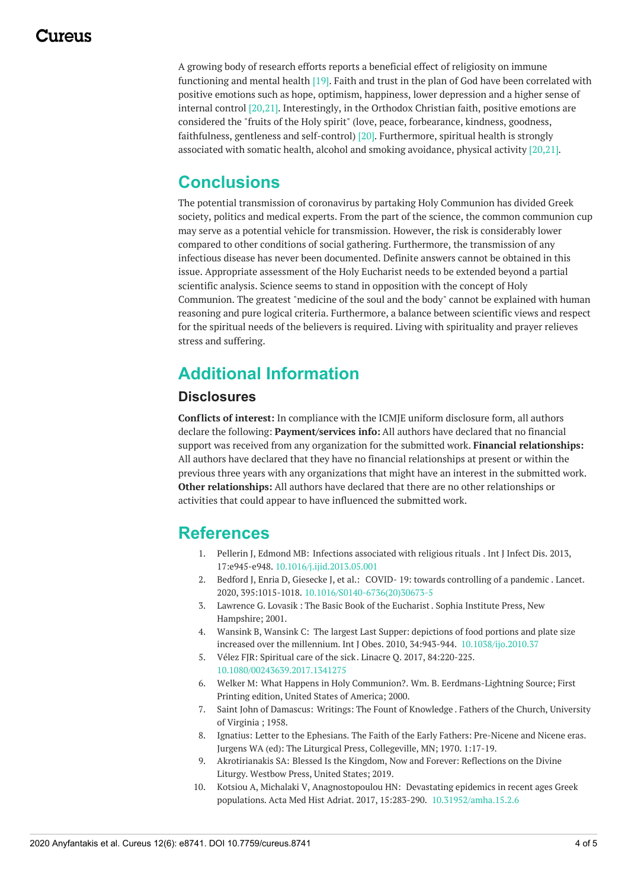## 117A119

A growing body of research efforts reports a beneficial effect of religiosity on immune functioning and mental health [19]. Faith and trust in the plan of God have been correlated with positive emotions such as hope, optimism, happiness, lower depression and a higher sense of internal control [20,21]. Interestingly, in the Orthodox Christian faith, positive emotions are considered the "fruits of the Holy spirit" (love, peace, forbearance, kindness, goodness, faithfulness, gentleness and self-control) [20]. Furthermore, spiritual health is strongly associated with somatic health, alcohol and smoking avoidance, physical activity [20,21].

# **Conclusions**

The potential transmission of coronavirus by partaking Holy Communion has divided Greek society, politics and medical experts. From the part of the science, the common communion cup may serve as a potential vehicle for transmission. However, the risk is considerably lower compared to other conditions of social gathering. Furthermore, the transmission of any infectious disease has never been documented. Definite answers cannot be obtained in this issue. Appropriate assessment of the Holy Eucharist needs to be extended beyond a partial scientific analysis. Science seems to stand in opposition with the concept of Holy Communion. The greatest "medicine of the soul and the body" cannot be explained with human reasoning and pure logical criteria. Furthermore, a balance between scientific views and respect for the spiritual needs of the believers is required. Living with spirituality and prayer relieves stress and suffering.

# **Additional Information**

#### **Disclosures**

**Conflicts of interest:** In compliance with the ICMJE uniform disclosure form, all authors declare the following: **Payment/services info:** All authors have declared that no financial support was received from any organization for the submitted work. **Financial relationships:** All authors have declared that they have no financial relationships at present or within the previous three years with any organizations that might have an interest in the submitted work. **Other relationships:** All authors have declared that there are no other relationships or activities that could appear to have influenced the submitted work.

# **References**

- 1. Pellerin J, Edmond MB: Infections [associated](https://dx.doi.org/10.1016/j.ijid.2013.05.001?utm_medium=email&utm_source=transaction) with religious rituals . Int J Infect Dis. 2013, 17:e945-e948. [10.1016/j.ijid.2013.05.001](https://dx.doi.org/10.1016/j.ijid.2013.05.001?utm_medium=email&utm_source=transaction)
- 2. Bedford J, Enria D, Giesecke J, et al.: COVID- 19: towards [controlling](https://dx.doi.org/10.1016/S0140-6736(20)30673-5?utm_medium=email&utm_source=transaction) of a pandemic . Lancet. 2020, 395:1015-1018. [10.1016/S0140-6736\(20\)30673-5](https://dx.doi.org/10.1016/S0140-6736(20)30673-5?utm_medium=email&utm_source=transaction)
- 3. Lawrence G. Lovasik : The Basic Book of the [Eucharist](https://www.sophiainstitute.com/products/item/the-basic-book-of-the-eucharist?utm_medium=email&utm_source=transaction). Sophia Institute Press, New Hampshire; 2001.
- 4. Wansink B, Wansink C: The largest Last Supper: depictions of food portions and plate size increased over the millennium. Int J Obes. 2010, 34:943-944. [10.1038/ijo.2010.37](https://dx.doi.org/10.1038/ijo.2010.37?utm_medium=email&utm_source=transaction)
- 5. Vélez FJR: [Spiritual](https://dx.doi.org/10.1080/00243639.2017.1341275?utm_medium=email&utm_source=transaction) care of the sick. Linacre Q. 2017, 84:220-225. [10.1080/00243639.2017.1341275](https://dx.doi.org/10.1080/00243639.2017.1341275?utm_medium=email&utm_source=transaction)
- 6. Welker M: What Happens in Holy [Communion?](https://books.google.gr/books?dq=inauthor%3A%22Michael Welker%22&hl=el&id=TkLnCcAwGdIC&printsec=frontcover&sa=X&utm_medium=email&utm_source=transaction&ved=0ahUKEwjN44bohdvpAhWpgVwKHVECApMQ6AEIRjAD#v=onepage&q&f=false). Wm. B. Eerdmans-Lightning Source; First Printing edition, United States of America; 2000.
- 7. Saint John of Damascus: Writings: The Fount of [Knowledge](https://books.google.gr/books/about/Writings_The_fount_of_Knowledge.html?id=GIEwAAAAYAAJ&redir_esc=y&utm_medium=email&utm_source=transaction) . Fathers of the Church, University of Virginia ; 1958.
- 8. Ignatius: Letter to the [Ephesians](https://books.google.gr/books/about/The_Faith_of_the_Early_Fathers_Pre_Nicen.html?id=l62q-d4Wi20C&redir_esc=y&utm_medium=email&utm_source=transaction). The Faith of the Early Fathers: Pre-Nicene and Nicene eras. Jurgens WA (ed): The Liturgical Press, Collegeville, MN; 1970. 1:17-19.
- 9. [Akrotirianakis](https://books.google.gr/books/about/Blessed_Is_the_Kingdom_Now_and_Forever.html?id=C3dmwQEACAAJ&redir_esc=y&utm_medium=email&utm_source=transaction) SA: Blessed Is the Kingdom, Now and Forever: Reflections on the Divine Liturgy. Westbow Press, United States; 2019.
- 10. Kotsiou A, Michalaki V, Anagnostopoulou HN: Devastating epidemics in recent ages Greek populations. Acta Med Hist Adriat. 2017, 15:283-290. [10.31952/amha.15.2.6](https://dx.doi.org/10.31952/amha.15.2.6?utm_medium=email&utm_source=transaction)